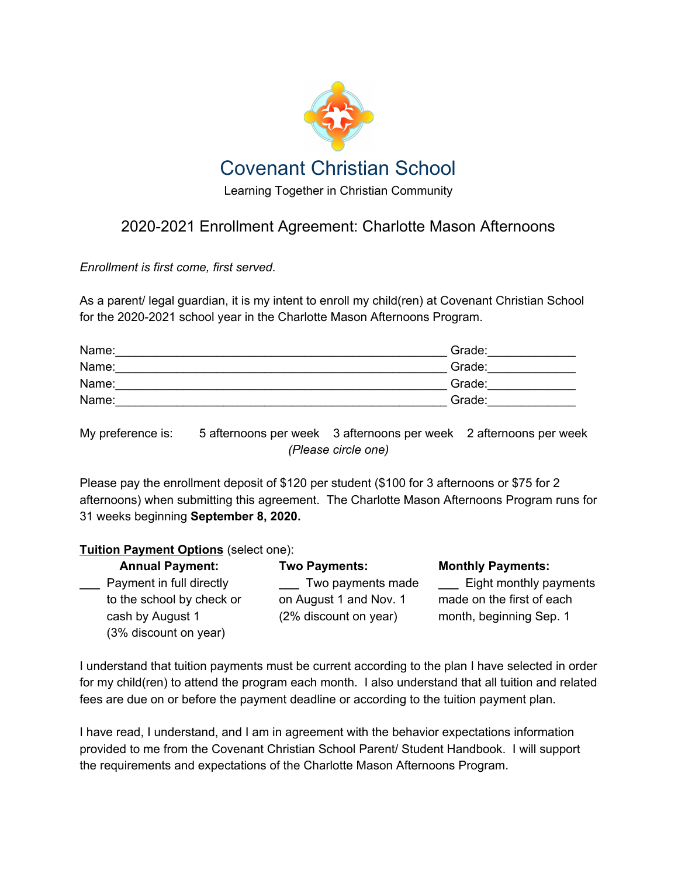

## 2020-2021 Enrollment Agreement: Charlotte Mason Afternoons

*Enrollment is first come, first served.*

As a parent/ legal guardian, it is my intent to enroll my child(ren) at Covenant Christian School for the 2020-2021 school year in the Charlotte Mason Afternoons Program.

| Name: | Grade: |
|-------|--------|
| Name: | Grade: |
| Name: | Grade: |
| Name: | Grade: |

My preference is: 5 afternoons per week 3 afternoons per week 2 afternoons per week *(Please circle one)*

Please pay the enrollment deposit of \$120 per student (\$100 for 3 afternoons or \$75 for 2 afternoons) when submitting this agreement. The Charlotte Mason Afternoons Program runs for 31 weeks beginning **September 8, 2020.**

## **Tuition Payment Options** (select one):

| <b>Annual Payment:</b>    | <b>Two Payments:</b>   | <b>Monthly Payments:</b>  |
|---------------------------|------------------------|---------------------------|
| Payment in full directly  | Two payments made      | Eight monthly payments    |
| to the school by check or | on August 1 and Nov. 1 | made on the first of each |
| cash by August 1          | (2% discount on year)  | month, beginning Sep. 1   |
| (3% discount on year)     |                        |                           |

I understand that tuition payments must be current according to the plan I have selected in order for my child(ren) to attend the program each month. I also understand that all tuition and related fees are due on or before the payment deadline or according to the tuition payment plan.

I have read, I understand, and I am in agreement with the behavior expectations information provided to me from the Covenant Christian School Parent/ Student Handbook. I will support the requirements and expectations of the Charlotte Mason Afternoons Program.